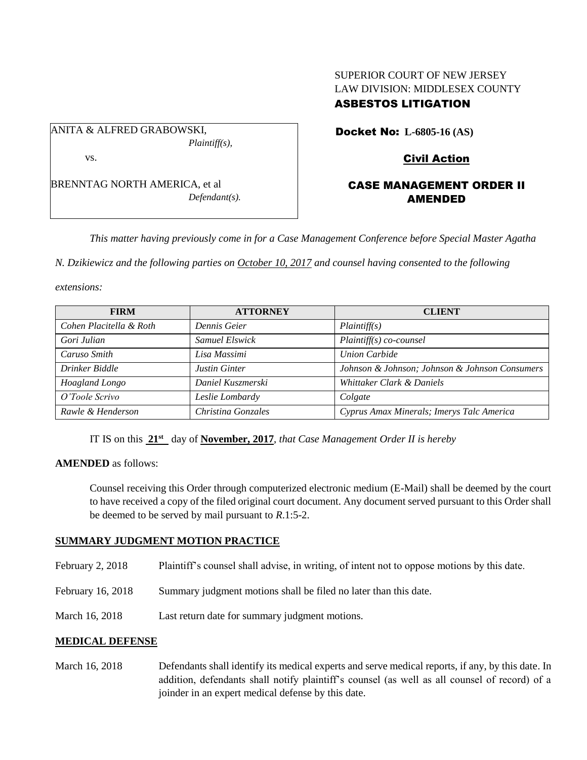# SUPERIOR COURT OF NEW JERSEY LAW DIVISION: MIDDLESEX COUNTY ASBESTOS LITIGATION

ANITA & ALFRED GRABOWSKI, *Plaintiff(s),* vs.

BRENNTAG NORTH AMERICA, et al *Defendant(s).* Docket No: **L-6805-16 (AS)** 

# Civil Action

# CASE MANAGEMENT ORDER II AMENDED

*This matter having previously come in for a Case Management Conference before Special Master Agatha* 

*N. Dzikiewicz and the following parties on October 10, 2017 and counsel having consented to the following* 

*extensions:* 

| <b>FIRM</b>             | <b>ATTORNEY</b>      | <b>CLIENT</b>                                  |
|-------------------------|----------------------|------------------------------------------------|
| Cohen Placitella & Roth | Dennis Geier         | Plaintiff(s)                                   |
| Gori Julian             | Samuel Elswick       | $Plaintiff(s) co-course$                       |
| Caruso Smith            | Lisa Massimi         | <b>Union Carbide</b>                           |
| Drinker Biddle          | <b>Justin Ginter</b> | Johnson & Johnson; Johnson & Johnson Consumers |
| Hoagland Longo          | Daniel Kuszmerski    | Whittaker Clark & Daniels                      |
| O'Toole Scrivo          | Leslie Lombardy      | Colgate                                        |
| Rawle & Henderson       | Christina Gonzales   | Cyprus Amax Minerals; Imerys Talc America      |

IT IS on this **21st** day of **November, 2017**, *that Case Management Order II is hereby*

#### **AMENDED** as follows:

Counsel receiving this Order through computerized electronic medium (E-Mail) shall be deemed by the court to have received a copy of the filed original court document. Any document served pursuant to this Order shall be deemed to be served by mail pursuant to *R*.1:5-2.

## **SUMMARY JUDGMENT MOTION PRACTICE**

- February 2, 2018 Plaintiff's counsel shall advise, in writing, of intent not to oppose motions by this date.
- February 16, 2018 Summary judgment motions shall be filed no later than this date.
- March 16, 2018 Last return date for summary judgment motions.

## **MEDICAL DEFENSE**

March 16, 2018 Defendants shall identify its medical experts and serve medical reports, if any, by this date. In addition, defendants shall notify plaintiff's counsel (as well as all counsel of record) of a joinder in an expert medical defense by this date.